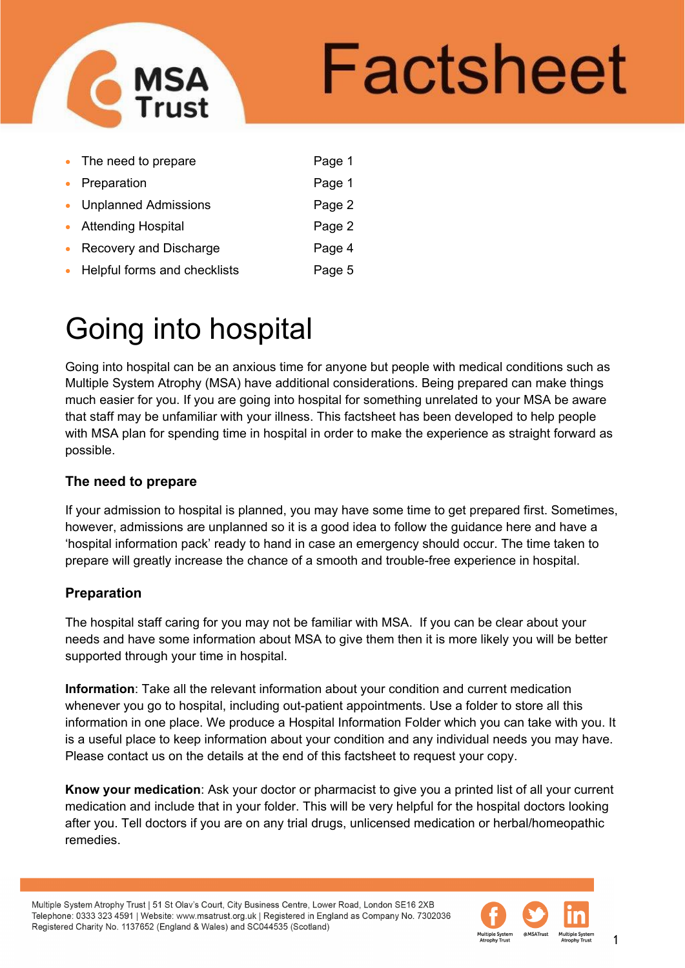

# Factsheet

| • The need to prepare          | Page 1 |
|--------------------------------|--------|
| • Preparation                  | Page 1 |
| • Unplanned Admissions         | Page 2 |
| • Attending Hospital           | Page 2 |
| • Recovery and Discharge       | Page 4 |
| • Helpful forms and checklists | Page 5 |

## Going into hospital

Going into hospital can be an anxious time for anyone but people with medical conditions such as Multiple System Atrophy (MSA) have additional considerations. Being prepared can make things much easier for you. If you are going into hospital for something unrelated to your MSA be aware that staff may be unfamiliar with your illness. This factsheet has been developed to help people with MSA plan for spending time in hospital in order to make the experience as straight forward as possible.

#### **The need to prepare**

If your admission to hospital is planned, you may have some time to get prepared first. Sometimes, however, admissions are unplanned so it is a good idea to follow the guidance here and have a 'hospital information pack' ready to hand in case an emergency should occur. The time taken to prepare will greatly increase the chance of a smooth and trouble-free experience in hospital.

#### **Preparation**

The hospital staff caring for you may not be familiar with MSA. If you can be clear about your needs and have some information about MSA to give them then it is more likely you will be better supported through your time in hospital.

**Information**: Take all the relevant information about your condition and current medication whenever you go to hospital, including out-patient appointments. Use a folder to store all this information in one place. We produce a Hospital Information Folder which you can take with you. It is a useful place to keep information about your condition and any individual needs you may have. Please contact us on the details at the end of this factsheet to request your copy.

**Know your medication**: Ask your doctor or pharmacist to give you a printed list of all your current medication and include that in your folder. This will be very helpful for the hospital doctors looking after you. Tell doctors if you are on any trial drugs, unlicensed medication or herbal/homeopathic remedies.

Multiple System Atrophy Trust | 51 St Olav's Court, City Business Centre, Lower Road, London SE16 2XB Telephone: 0333 323 4591 | Website: www.msatrust.org.uk | Registered in England as Company No. 7302036 Registered Charity No. 1137652 (England & Wales) and SC044535 (Scotland)

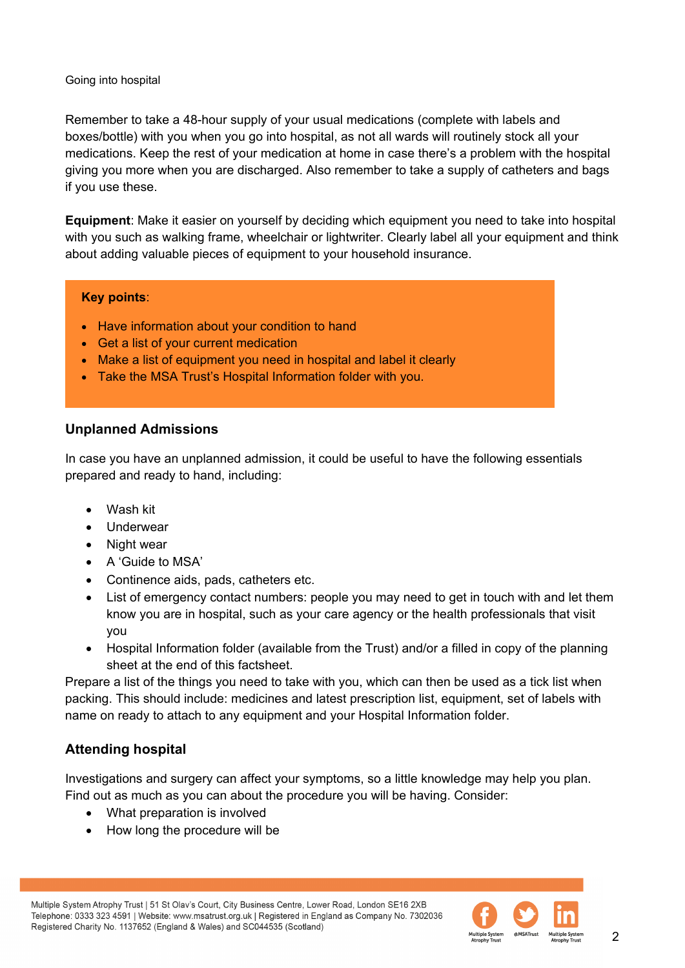Remember to take a 48-hour supply of your usual medications (complete with labels and boxes/bottle) with you when you go into hospital, as not all wards will routinely stock all your medications. Keep the rest of your medication at home in case there's a problem with the hospital giving you more when you are discharged. Also remember to take a supply of catheters and bags if you use these.

**Equipment**: Make it easier on yourself by deciding which equipment you need to take into hospital with you such as walking frame, wheelchair or lightwriter. Clearly label all your equipment and think about adding valuable pieces of equipment to your household insurance.

#### **Key points**:

- Have information about your condition to hand
- Get a list of your current medication
- Make a list of equipment you need in hospital and label it clearly
- Take the MSA Trust's Hospital Information folder with you.

#### **Unplanned Admissions**

In case you have an unplanned admission, it could be useful to have the following essentials prepared and ready to hand, including:

- Wash kit
- Underwear
- Night wear
- A 'Guide to MSA'
- Continence aids, pads, catheters etc.
- List of emergency contact numbers: people you may need to get in touch with and let them know you are in hospital, such as your care agency or the health professionals that visit you
- Hospital Information folder (available from the Trust) and/or a filled in copy of the planning sheet at the end of this factsheet.

Prepare a list of the things you need to take with you, which can then be used as a tick list when packing. This should include: medicines and latest prescription list, equipment, set of labels with name on ready to attach to any equipment and your Hospital Information folder.

#### **Attending hospital**

Investigations and surgery can affect your symptoms, so a little knowledge may help you plan. Find out as much as you can about the procedure you will be having. Consider:

- What preparation is involved
- How long the procedure will be

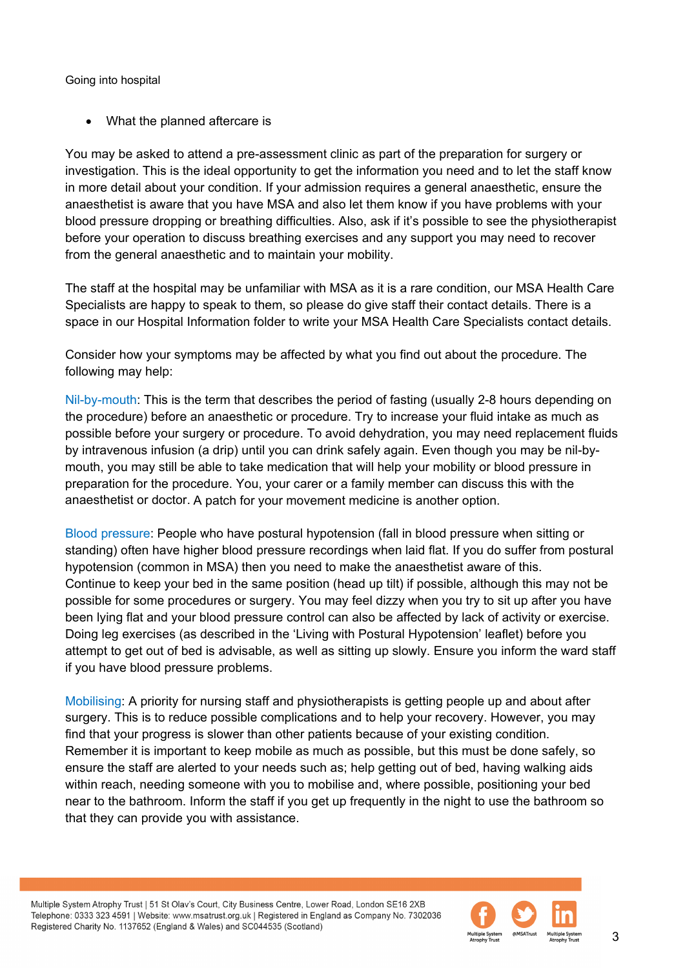• What the planned aftercare is

You may be asked to attend a pre-assessment clinic as part of the preparation for surgery or investigation. This is the ideal opportunity to get the information you need and to let the staff know in more detail about your condition. If your admission requires a general anaesthetic, ensure the anaesthetist is aware that you have MSA and also let them know if you have problems with your blood pressure dropping or breathing difficulties. Also, ask if it's possible to see the physiotherapist before your operation to discuss breathing exercises and any support you may need to recover from the general anaesthetic and to maintain your mobility.

The staff at the hospital may be unfamiliar with MSA as it is a rare condition, our MSA Health Care Specialists are happy to speak to them, so please do give staff their contact details. There is a space in our Hospital Information folder to write your MSA Health Care Specialists contact details.

Consider how your symptoms may be affected by what you find out about the procedure. The following may help:

Nil-by-mouth: This is the term that describes the period of fasting (usually 2-8 hours depending on the procedure) before an anaesthetic or procedure. Try to increase your fluid intake as much as possible before your surgery or procedure. To avoid dehydration, you may need replacement fluids by intravenous infusion (a drip) until you can drink safely again. Even though you may be nil-bymouth, you may still be able to take medication that will help your mobility or blood pressure in preparation for the procedure. You, your carer or a family member can discuss this with the anaesthetist or doctor. A patch for your movement medicine is another option.

Blood pressure: People who have postural hypotension (fall in blood pressure when sitting or standing) often have higher blood pressure recordings when laid flat. If you do suffer from postural hypotension (common in MSA) then you need to make the anaesthetist aware of this. Continue to keep your bed in the same position (head up tilt) if possible, although this may not be possible for some procedures or surgery. You may feel dizzy when you try to sit up after you have been lying flat and your blood pressure control can also be affected by lack of activity or exercise. Doing leg exercises (as described in the 'Living with Postural Hypotension' leaflet) before you attempt to get out of bed is advisable, as well as sitting up slowly. Ensure you inform the ward staff if you have blood pressure problems.

Mobilising: A priority for nursing staff and physiotherapists is getting people up and about after surgery. This is to reduce possible complications and to help your recovery. However, you may find that your progress is slower than other patients because of your existing condition. Remember it is important to keep mobile as much as possible, but this must be done safely, so ensure the staff are alerted to your needs such as; help getting out of bed, having walking aids within reach, needing someone with you to mobilise and, where possible, positioning your bed near to the bathroom. Inform the staff if you get up frequently in the night to use the bathroom so that they can provide you with assistance.

Multiple System Atrophy Trust | 51 St Olav's Court, City Business Centre, Lower Road, London SE16 2XB Telephone: 0333 323 4591 | Website: www.msatrust.org.uk | Registered in England as Company No. 7302036 Registered Charity No. 1137652 (England & Wales) and SC044535 (Scotland)

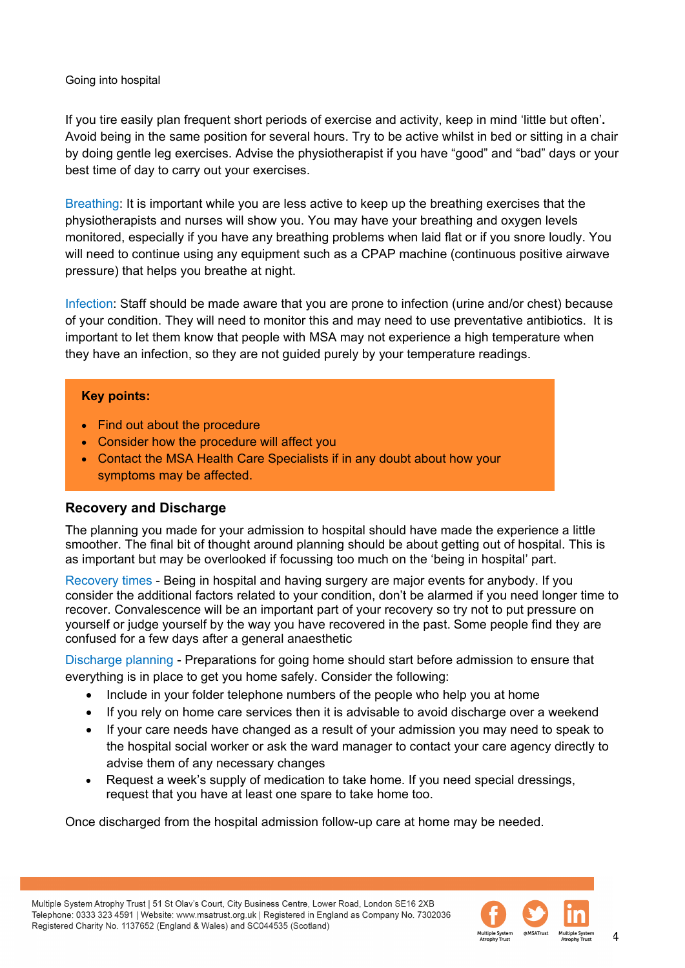If you tire easily plan frequent short periods of exercise and activity, keep in mind 'little but often'**.** Avoid being in the same position for several hours. Try to be active whilst in bed or sitting in a chair by doing gentle leg exercises. Advise the physiotherapist if you have "good" and "bad" days or your best time of day to carry out your exercises.

Breathing: It is important while you are less active to keep up the breathing exercises that the physiotherapists and nurses will show you. You may have your breathing and oxygen levels monitored, especially if you have any breathing problems when laid flat or if you snore loudly. You will need to continue using any equipment such as a CPAP machine (continuous positive airwave pressure) that helps you breathe at night.

Infection: Staff should be made aware that you are prone to infection (urine and/or chest) because of your condition. They will need to monitor this and may need to use preventative antibiotics. It is important to let them know that people with MSA may not experience a high temperature when they have an infection, so they are not guided purely by your temperature readings.

#### **Key points:**

- Find out about the procedure
- Consider how the procedure will affect you
- Contact the MSA Health Care Specialists if in any doubt about how your symptoms may be affected.

#### **Recovery and Discharge**

The planning you made for your admission to hospital should have made the experience a little smoother. The final bit of thought around planning should be about getting out of hospital. This is as important but may be overlooked if focussing too much on the 'being in hospital' part.

Recovery times - Being in hospital and having surgery are major events for anybody. If you consider the additional factors related to your condition, don't be alarmed if you need longer time to recover. Convalescence will be an important part of your recovery so try not to put pressure on yourself or judge yourself by the way you have recovered in the past. Some people find they are confused for a few days after a general anaesthetic

Discharge planning - Preparations for going home should start before admission to ensure that everything is in place to get you home safely. Consider the following:

- Include in your folder telephone numbers of the people who help you at home
- If you rely on home care services then it is advisable to avoid discharge over a weekend
- If your care needs have changed as a result of your admission you may need to speak to the hospital social worker or ask the ward manager to contact your care agency directly to advise them of any necessary changes
- Request a week's supply of medication to take home. If you need special dressings, request that you have at least one spare to take home too.

Once discharged from the hospital admission follow-up care at home may be needed.

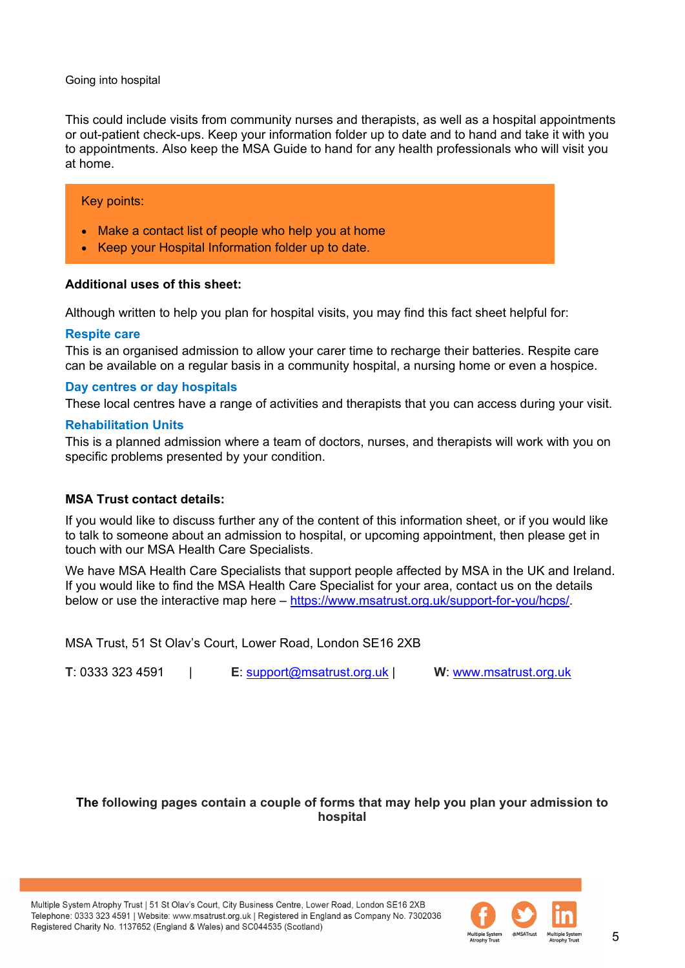This could include visits from community nurses and therapists, as well as a hospital appointments or out-patient check-ups. Keep your information folder up to date and to hand and take it with you to appointments. Also keep the MSA Guide to hand for any health professionals who will visit you at home.

#### Key points:

- Make a contact list of people who help you at home
- Keep your Hospital Information folder up to date.

#### **Additional uses of this sheet:**

Although written to help you plan for hospital visits, you may find this fact sheet helpful for:

#### **Respite care**

This is an organised admission to allow your carer time to recharge their batteries. Respite care can be available on a regular basis in a community hospital, a nursing home or even a hospice.

#### **Day centres or day hospitals**

These local centres have a range of activities and therapists that you can access during your visit.

#### **Rehabilitation Units**

This is a planned admission where a team of doctors, nurses, and therapists will work with you on specific problems presented by your condition.

#### **MSA Trust contact details:**

If you would like to discuss further any of the content of this information sheet, or if you would like to talk to someone about an admission to hospital, or upcoming appointment, then please get in touch with our MSA Health Care Specialists.

We have MSA Health Care Specialists that support people affected by MSA in the UK and Ireland. If you would like to find the MSA Health Care Specialist for your area, contact us on the details below or use the interactive map here – [https://www.msatrust.org.uk/support-for-you/hcps/.](https://www.msatrust.org.uk/support-for-you/hcps/)

MSA Trust, 51 St Olav's Court, Lower Road, London SE16 2XB

**T**: 0333 323 4591 | **E**: [support@msatrust.org.uk](mailto:support@msatrust.org.uk) | **W**: [www.msatrust.org.uk](http://www.msatrust.org.uk/) 

#### **The following pages contain a couple of forms that may help you plan your admission to hospital**

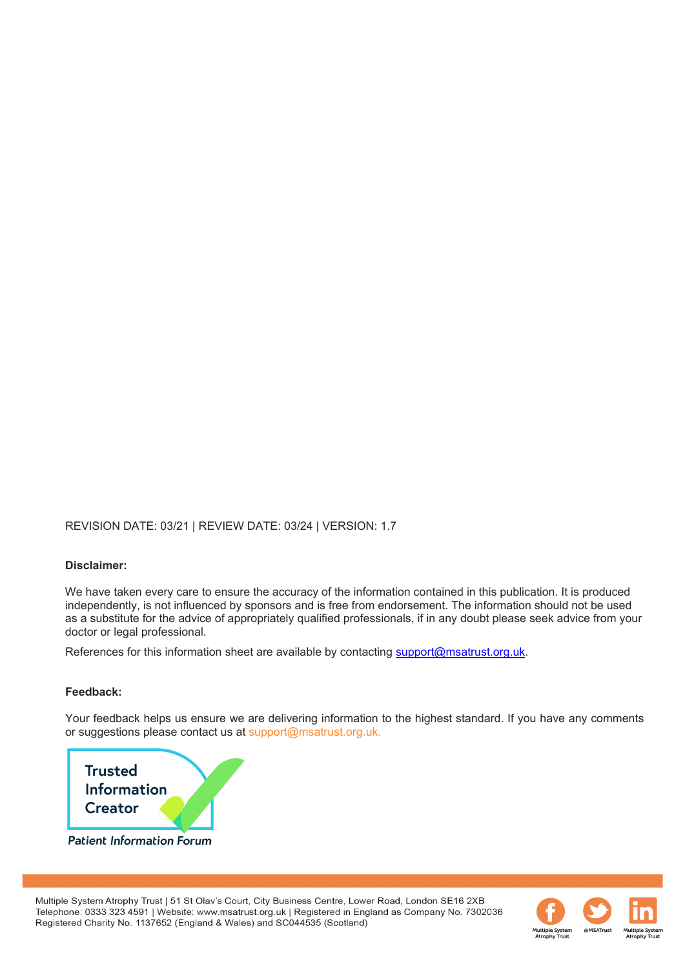#### REVISION DATE: 03/21 | REVIEW DATE: 03/24 | VERSION: 1.7

#### **Disclaimer:**

We have taken every care to ensure the accuracy of the information contained in this publication. It is produced independently, is not influenced by sponsors and is free from endorsement. The information should not be used as a substitute for the advice of appropriately qualified professionals, if in any doubt please seek advice from your doctor or legal professional.

References for this information sheet are available by contacting [support@msatrust.org.uk.](mailto:support@msatrust.org.uk)

#### **Feedback:**

Your feedback helps us ensure we are delivering information to the highest standard. If you have any comments or suggestions please contact us at support@msatrust.org.uk.



Multiple System Atrophy Trust | 51 St Olav's Court, City Business Centre, Lower Road, London SE16 2XB Telephone: 0333 323 4591 | Website: www.msatrust.org.uk | Registered in England as Company No. 7302036 Registered Charity No. 1137652 (England & Wales) and SC044535 (Scotland)

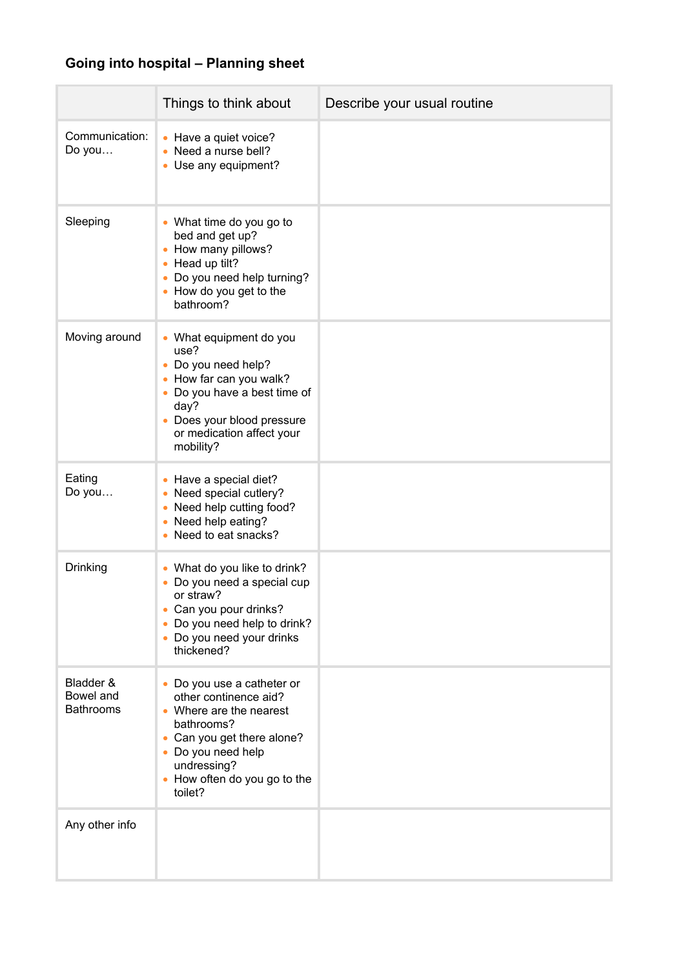### **Going into hospital – Planning sheet**

|                                            | Things to think about                                                                                                                                                                                                 | Describe your usual routine |
|--------------------------------------------|-----------------------------------------------------------------------------------------------------------------------------------------------------------------------------------------------------------------------|-----------------------------|
| Communication:<br>Do you                   | • Have a quiet voice?<br>• Need a nurse bell?<br>• Use any equipment?                                                                                                                                                 |                             |
| Sleeping                                   | • What time do you go to<br>bed and get up?<br>How many pillows?<br>$\bullet$<br>Head up tilt?<br>$\bullet$<br>Do you need help turning?<br>How do you get to the<br>$\bullet$<br>bathroom?                           |                             |
| Moving around                              | • What equipment do you<br>use?<br>Do you need help?<br>$\bullet$<br>How far can you walk?<br>Do you have a best time of<br>day?<br>Does your blood pressure<br>or medication affect your<br>mobility?                |                             |
| Eating<br>Do you                           | • Have a special diet?<br>Need special cutlery?<br>Need help cutting food?<br>Need help eating?<br>Need to eat snacks?                                                                                                |                             |
| Drinking                                   | What do you like to drink?<br>Do you need a special cup<br>or straw?<br>Can you pour drinks?<br>Do you need help to drink?<br>Do you need your drinks<br>thickened?                                                   |                             |
| Bladder &<br>Bowel and<br><b>Bathrooms</b> | • Do you use a catheter or<br>other continence aid?<br>• Where are the nearest<br>bathrooms?<br>Can you get there alone?<br>$\bullet$<br>• Do you need help<br>undressing?<br>• How often do you go to the<br>toilet? |                             |
| Any other info                             |                                                                                                                                                                                                                       |                             |